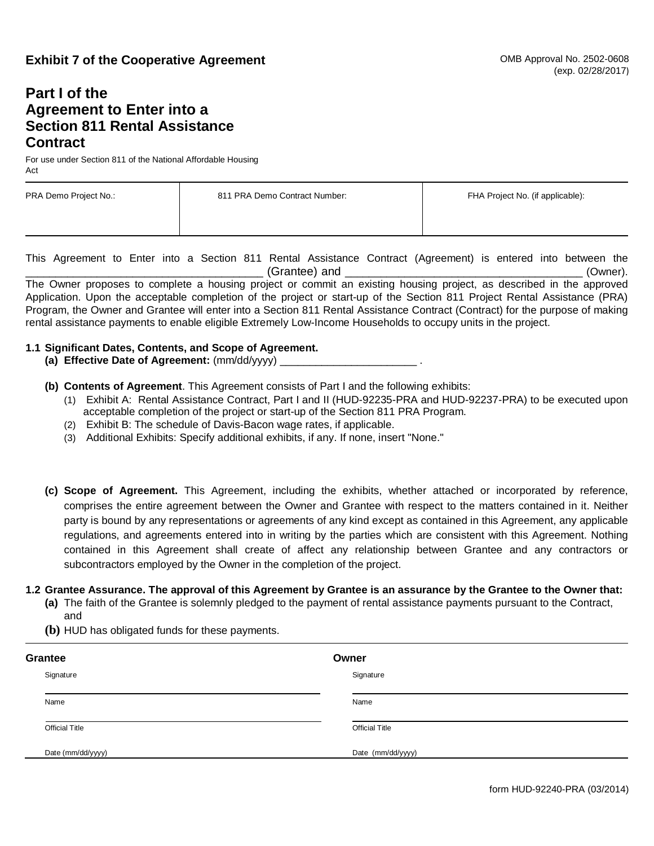## **Exhibit 7 of the Cooperative Agreement**

## **Part I of the Agreement to Enter into a Section 811 Rental Assistance Contract**

For use under Section 811 of the National Affordable Housing Act

| PRA Demo Project No.: | 811 PRA Demo Contract Number: | FHA Project No. (if applicable): |
|-----------------------|-------------------------------|----------------------------------|
|                       |                               |                                  |

This Agreement to Enter into a Section 811 Rental Assistance Contract (Agreement) is entered into between the  $(G^{\text{rand}})$  and  $(Grance)$ 

The Owner proposes to complete a housing project or commit an existing housing project, as described in the approved Application. Upon the acceptable completion of the project or start-up of the Section 811 Project Rental Assistance (PRA) Program, the Owner and Grantee will enter into a Section 811 Rental Assistance Contract (Contract) for the purpose of making rental assistance payments to enable eligible Extremely Low-Income Households to occupy units in the project.

## **1.1 Significant Dates, Contents, and Scope of Agreement.**

- **(a) Effective Date of Agreement:** (mm/dd/yyyy) \_\_\_\_\_\_\_\_\_\_\_\_\_\_\_\_\_\_\_\_\_\_\_ .
- **(b) Contents of Agreement**. This Agreement consists of Part I and the following exhibits:
	- (1) Exhibit A: Rental Assistance Contract, Part I and II (HUD-92235-PRA and HUD-92237-PRA) to be executed upon acceptable completion of the project or start-up of the Section 811 PRA Program.
	- (2) Exhibit B: The schedule of Davis-Bacon wage rates, if applicable.
	- (3) Additional Exhibits: Specify additional exhibits, if any. If none, insert "None."
- **(c) Scope of Agreement.** This Agreement, including the exhibits, whether attached or incorporated by reference, comprises the entire agreement between the Owner and Grantee with respect to the matters contained in it. Neither party is bound by any representations or agreements of any kind except as contained in this Agreement, any applicable regulations, and agreements entered into in writing by the parties which are consistent with this Agreement. Nothing contained in this Agreement shall create of affect any relationship between Grantee and any contractors or subcontractors employed by the Owner in the completion of the project.

## **1.2 Grantee Assurance. The approval of this Agreement by Grantee is an assurance by the Grantee to the Owner that:**

- **(a)** The faith of the Grantee is solemnly pledged to the payment of rental assistance payments pursuant to the Contract, and
- **(b)** HUD has obligated funds for these payments.

| Grantee |                       | Owner                 |  |
|---------|-----------------------|-----------------------|--|
|         | Signature             | Signature             |  |
|         | Name                  | Name                  |  |
|         | <b>Official Title</b> | <b>Official Title</b> |  |
|         | Date (mm/dd/yyyy)     | Date (mm/dd/yyyy)     |  |